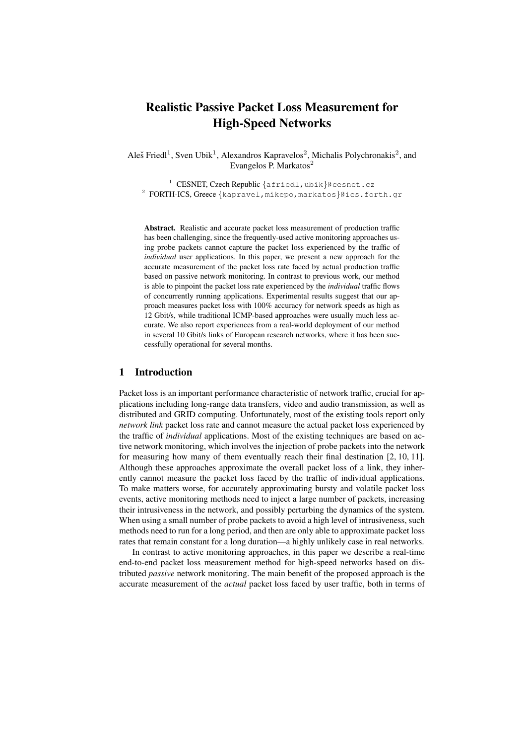# Realistic Passive Packet Loss Measurement for High-Speed Networks

Aleš Friedl<sup>1</sup>, Sven Ubik<sup>1</sup>, Alexandros Kapravelos<sup>2</sup>, Michalis Polychronakis<sup>2</sup>, and Evangelos P. Markatos<sup>2</sup>

<sup>1</sup> CESNET, Czech Republic {afriedl, ubik}@cesnet.cz <sup>2</sup> FORTH-ICS, Greece {kapravel, mikepo, markatos}@ics.forth.gr

Abstract. Realistic and accurate packet loss measurement of production traffic has been challenging, since the frequently-used active monitoring approaches using probe packets cannot capture the packet loss experienced by the traffic of *individual* user applications. In this paper, we present a new approach for the accurate measurement of the packet loss rate faced by actual production traffic based on passive network monitoring. In contrast to previous work, our method is able to pinpoint the packet loss rate experienced by the *individual* traffic flows of concurrently running applications. Experimental results suggest that our approach measures packet loss with 100% accuracy for network speeds as high as 12 Gbit/s, while traditional ICMP-based approaches were usually much less accurate. We also report experiences from a real-world deployment of our method in several 10 Gbit/s links of European research networks, where it has been successfully operational for several months.

### 1 Introduction

Packet loss is an important performance characteristic of network traffic, crucial for applications including long-range data transfers, video and audio transmission, as well as distributed and GRID computing. Unfortunately, most of the existing tools report only *network link* packet loss rate and cannot measure the actual packet loss experienced by the traffic of *individual* applications. Most of the existing techniques are based on active network monitoring, which involves the injection of probe packets into the network for measuring how many of them eventually reach their final destination [2, 10, 11]. Although these approaches approximate the overall packet loss of a link, they inherently cannot measure the packet loss faced by the traffic of individual applications. To make matters worse, for accurately approximating bursty and volatile packet loss events, active monitoring methods need to inject a large number of packets, increasing their intrusiveness in the network, and possibly perturbing the dynamics of the system. When using a small number of probe packets to avoid a high level of intrusiveness, such methods need to run for a long period, and then are only able to approximate packet loss rates that remain constant for a long duration—a highly unlikely case in real networks.

In contrast to active monitoring approaches, in this paper we describe a real-time end-to-end packet loss measurement method for high-speed networks based on distributed *passive* network monitoring. The main benefit of the proposed approach is the accurate measurement of the *actual* packet loss faced by user traffic, both in terms of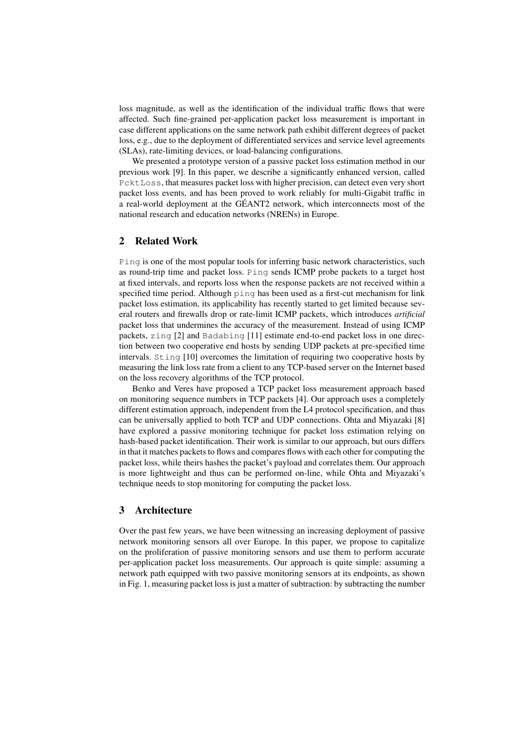loss magnitude, as well as the identification of the individual traffic flows that were affected. Such fine-grained per-application packet loss measurement is important in case different applications on the same network path exhibit different degrees of packet loss, e.g., due to the deployment of differentiated services and service level agreements (SLAs), rate-limiting devices, or load-balancing configurations.

We presented a prototype version of a passive packet loss estimation method in our previous work [9]. In this paper, we describe a significantly enhanced version, called PcktLoss, that measures packet loss with higher precision, can detect even very short packet loss events, and has been proved to work reliably for multi-Gigabit traffic in a real-world deployment at the GEANT2 network, which interconnects most of the ´ national research and education networks (NRENs) in Europe.

### 2 Related Work

Ping is one of the most popular tools for inferring basic network characteristics, such as round-trip time and packet loss. Ping sends ICMP probe packets to a target host at fixed intervals, and reports loss when the response packets are not received within a specified time period. Although ping has been used as a first-cut mechanism for link packet loss estimation, its applicability has recently started to get limited because several routers and firewalls drop or rate-limit ICMP packets, which introduces *artificial* packet loss that undermines the accuracy of the measurement. Instead of using ICMP packets, zing [2] and Badabing [11] estimate end-to-end packet loss in one direction between two cooperative end hosts by sending UDP packets at pre-specified time intervals. Sting [10] overcomes the limitation of requiring two cooperative hosts by measuring the link loss rate from a client to any TCP-based server on the Internet based on the loss recovery algorithms of the TCP protocol.

Benko and Veres have proposed a TCP packet loss measurement approach based on monitoring sequence numbers in TCP packets [4]. Our approach uses a completely different estimation approach, independent from the L4 protocol specification, and thus can be universally applied to both TCP and UDP connections. Ohta and Miyazaki [8] have explored a passive monitoring technique for packet loss estimation relying on hash-based packet identification. Their work is similar to our approach, but ours differs in that it matches packets to flows and compares flows with each other for computing the packet loss, while theirs hashes the packet's payload and correlates them. Our approach is more lightweight and thus can be performed on-line, while Ohta and Miyazaki's technique needs to stop monitoring for computing the packet loss.

### 3 Architecture

Over the past few years, we have been witnessing an increasing deployment of passive network monitoring sensors all over Europe. In this paper, we propose to capitalize on the proliferation of passive monitoring sensors and use them to perform accurate per-application packet loss measurements. Our approach is quite simple: assuming a network path equipped with two passive monitoring sensors at its endpoints, as shown in Fig. 1, measuring packet loss is just a matter of subtraction: by subtracting the number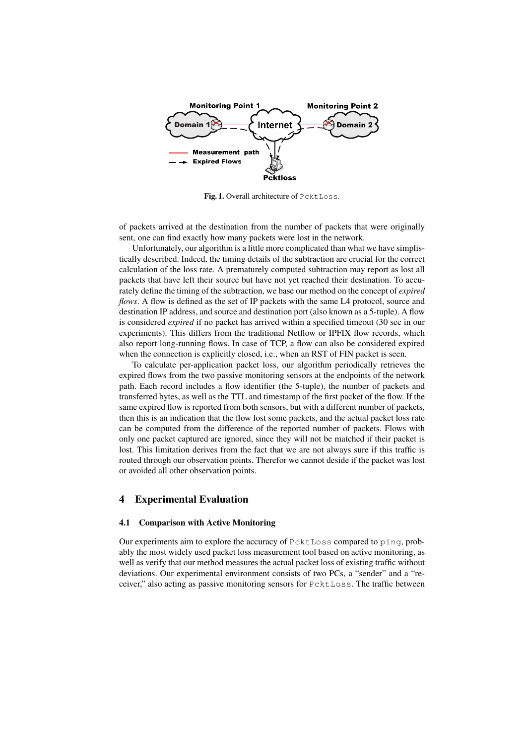

Fig. 1. Overall architecture of PcktLoss.

of packets arrived at the destination from the number of packets that were originally sent, one can find exactly how many packets were lost in the network.

Unfortunately, our algorithm is a little more complicated than what we have simplistically described. Indeed, the timing details of the subtraction are crucial for the correct calculation of the loss rate. A prematurely computed subtraction may report as lost all packets that have left their source but have not yet reached their destination. To accurately define the timing of the subtraction, we base our method on the concept of *expired flows*. A flow is defined as the set of IP packets with the same L4 protocol, source and destination IP address, and source and destination port (also known as a 5-tuple). A flow is considered *expired* if no packet has arrived within a specified timeout (30 sec in our experiments). This differs from the traditional Netflow or IPFIX flow records, which also report long-running flows. In case of TCP, a flow can also be considered expired when the connection is explicitly closed, i.e., when an RST of FIN packet is seen.

To calculate per-application packet loss, our algorithm periodically retrieves the expired flows from the two passive monitoring sensors at the endpoints of the network path. Each record includes a flow identifier (the 5-tuple), the number of packets and transferred bytes, as well as the TTL and timestamp of the first packet of the flow. If the same expired flow is reported from both sensors, but with a different number of packets, then this is an indication that the flow lost some packets, and the actual packet loss rate can be computed from the difference of the reported number of packets. Flows with only one packet captured are ignored, since they will not be matched if their packet is lost. This limitation derives from the fact that we are not always sure if this traffic is routed through our observation points. Therefor we cannot deside if the packet was lost or avoided all other observation points.

### 4 Experimental Evaluation

### 4.1 Comparison with Active Monitoring

Our experiments aim to explore the accuracy of PcktLoss compared to ping, probably the most widely used packet loss measurement tool based on active monitoring, as well as verify that our method measures the actual packet loss of existing traffic without deviations. Our experimental environment consists of two PCs, a "sender" and a "receiver," also acting as passive monitoring sensors for PcktLoss. The traffic between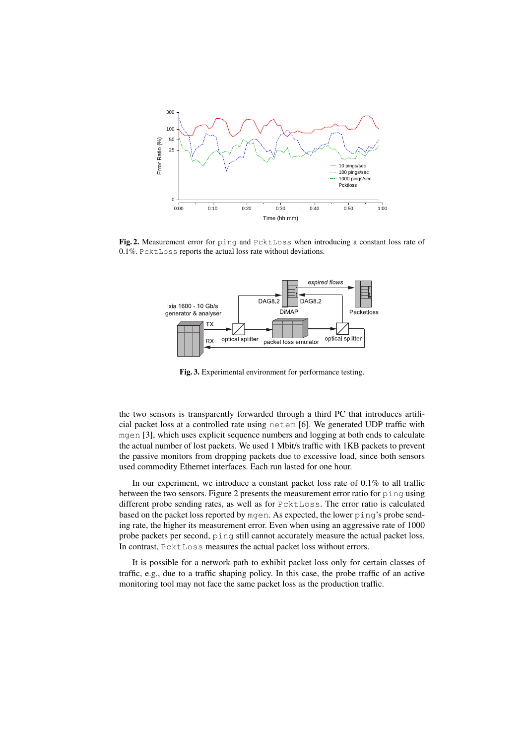

Fig. 2. Measurement error for ping and PcktLoss when introducing a constant loss rate of 0.1%. PcktLoss reports the actual loss rate without deviations.



Fig. 3. Experimental environment for performance testing.

the two sensors is transparently forwarded through a third PC that introduces artificial packet loss at a controlled rate using netem [6]. We generated UDP traffic with mgen [3], which uses explicit sequence numbers and logging at both ends to calculate the actual number of lost packets. We used 1 Mbit/s traffic with 1KB packets to prevent the passive monitors from dropping packets due to excessive load, since both sensors used commodity Ethernet interfaces. Each run lasted for one hour.

In our experiment, we introduce a constant packet loss rate of 0.1% to all traffic between the two sensors. Figure 2 presents the measurement error ratio for ping using different probe sending rates, as well as for PcktLoss. The error ratio is calculated based on the packet loss reported by mgen. As expected, the lower ping's probe sending rate, the higher its measurement error. Even when using an aggressive rate of 1000 probe packets per second, ping still cannot accurately measure the actual packet loss. In contrast, PcktLoss measures the actual packet loss without errors.

It is possible for a network path to exhibit packet loss only for certain classes of traffic, e.g., due to a traffic shaping policy. In this case, the probe traffic of an active monitoring tool may not face the same packet loss as the production traffic.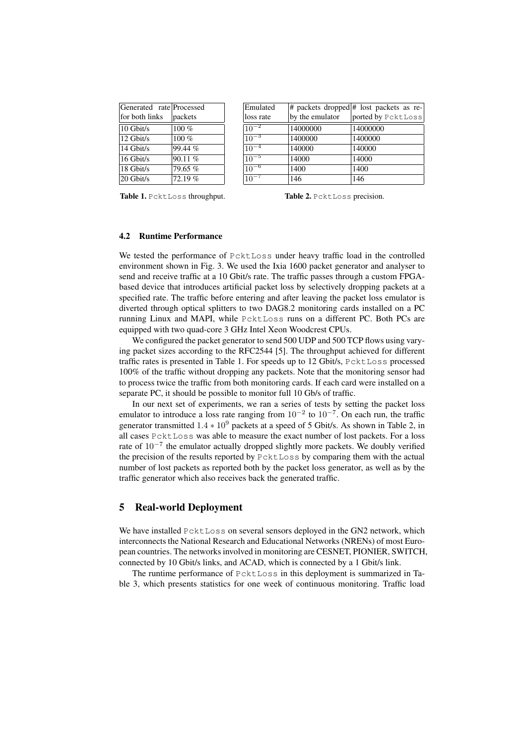| Generated rate Processed |         |
|--------------------------|---------|
| for both links           | packets |
| 10 Gbit/s                | $100\%$ |
| 12 Gbit/s                | 100 %   |
| 14 Gbit/s                | 99.44 % |
| 16 Gbit/s                | 90.11%  |
| 18 Gbit/s                | 79.65 % |
| 20 Gbit/s                | 72.19%  |

| Emulated             |                 | # packets dropped # lost packets as re- |  |  |
|----------------------|-----------------|-----------------------------------------|--|--|
| loss rate            | by the emulator | ported by PcktLoss                      |  |  |
| $10^{-2}$            | 14000000        | 14000000                                |  |  |
| $\overline{10^{-3}}$ | 1400000         | 1400000                                 |  |  |
| $10^{-4}$            | 140000          | 140000                                  |  |  |
| $10^{-5}$            | 14000           | 14000                                   |  |  |
| $10^{-6}$            | 1400            | 1400                                    |  |  |
| $10^{-7}$            | 146             | 146                                     |  |  |

Table 1. PcktLoss throughput.

Table 2. PcktLoss precision.

#### 4.2 Runtime Performance

We tested the performance of PcktLoss under heavy traffic load in the controlled environment shown in Fig. 3. We used the Ixia 1600 packet generator and analyser to send and receive traffic at a 10 Gbit/s rate. The traffic passes through a custom FPGAbased device that introduces artificial packet loss by selectively dropping packets at a specified rate. The traffic before entering and after leaving the packet loss emulator is diverted through optical splitters to two DAG8.2 monitoring cards installed on a PC running Linux and MAPI, while PcktLoss runs on a different PC. Both PCs are equipped with two quad-core 3 GHz Intel Xeon Woodcrest CPUs.

We configured the packet generator to send 500 UDP and 500 TCP flows using varying packet sizes according to the RFC2544 [5]. The throughput achieved for different traffic rates is presented in Table 1. For speeds up to 12 Gbit/s, PcktLoss processed 100% of the traffic without dropping any packets. Note that the monitoring sensor had to process twice the traffic from both monitoring cards. If each card were installed on a separate PC, it should be possible to monitor full 10 Gb/s of traffic.

In our next set of experiments, we ran a series of tests by setting the packet loss emulator to introduce a loss rate ranging from  $10^{-2}$  to  $10^{-7}$ . On each run, the traffic generator transmitted  $1.4 * 10^9$  packets at a speed of 5 Gbit/s. As shown in Table 2, in all cases PcktLoss was able to measure the exact number of lost packets. For a loss rate of  $10^{-7}$  the emulator actually dropped slightly more packets. We doubly verified the precision of the results reported by PcktLoss by comparing them with the actual number of lost packets as reported both by the packet loss generator, as well as by the traffic generator which also receives back the generated traffic.

### 5 Real-world Deployment

We have installed PcktLoss on several sensors deployed in the GN2 network, which interconnects the National Research and Educational Networks (NRENs) of most European countries. The networks involved in monitoring are CESNET, PIONIER, SWITCH, connected by 10 Gbit/s links, and ACAD, which is connected by a 1 Gbit/s link.

The runtime performance of PcktLoss in this deployment is summarized in Table 3, which presents statistics for one week of continuous monitoring. Traffic load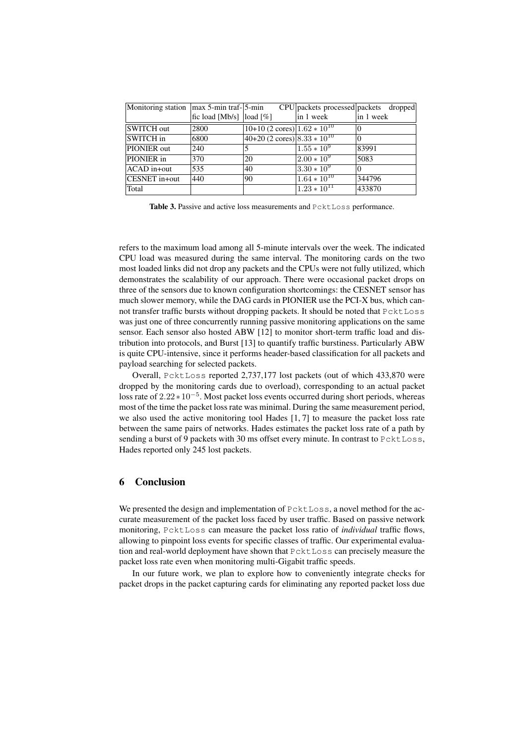| Monitoring station   max 5-min traf-  5-min |                                  |                                                            |                   | CPU packets processed packets dropped |
|---------------------------------------------|----------------------------------|------------------------------------------------------------|-------------------|---------------------------------------|
|                                             | fic load [Mb/s] $\vert$ load [%] |                                                            | in 1 week         | in 1 week                             |
| SWITCH out                                  | 2800                             | $10+10$ $\overline{(2 \text{ cores}) \mid 1.62 * 10^{10}}$ |                   |                                       |
| <b>SWITCH</b> in                            | 6800                             | $40+20$ (2 cores) $8.33 * 10^{10}$                         |                   |                                       |
| PIONIER out                                 | 240                              |                                                            | $1.55*10^9$       | 83991                                 |
| PIONIER in                                  | 370                              | 20                                                         | $ 2.00 * 10^{9} $ | 5083                                  |
| ACAD in+out                                 | 535                              | 40                                                         | $3.30*10^9$       |                                       |
| CESNET in+out                               | 440                              | 90                                                         | $1.64 * 10^{10}$  | 344796                                |
| Total                                       |                                  |                                                            | $1.23 * 10^{11}$  | 433870                                |

Table 3. Passive and active loss measurements and PcktLoss performance.

refers to the maximum load among all 5-minute intervals over the week. The indicated CPU load was measured during the same interval. The monitoring cards on the two most loaded links did not drop any packets and the CPUs were not fully utilized, which demonstrates the scalability of our approach. There were occasional packet drops on three of the sensors due to known configuration shortcomings: the CESNET sensor has much slower memory, while the DAG cards in PIONIER use the PCI-X bus, which cannot transfer traffic bursts without dropping packets. It should be noted that PcktLoss was just one of three concurrently running passive monitoring applications on the same sensor. Each sensor also hosted ABW [12] to monitor short-term traffic load and distribution into protocols, and Burst [13] to quantify traffic burstiness. Particularly ABW is quite CPU-intensive, since it performs header-based classification for all packets and payload searching for selected packets.

Overall, PcktLoss reported 2,737,177 lost packets (out of which 433,870 were dropped by the monitoring cards due to overload), corresponding to an actual packet loss rate of  $2.22 \times 10^{-5}$ . Most packet loss events occurred during short periods, whereas most of the time the packet loss rate was minimal. During the same measurement period, we also used the active monitoring tool Hades [1, 7] to measure the packet loss rate between the same pairs of networks. Hades estimates the packet loss rate of a path by sending a burst of 9 packets with 30 ms offset every minute. In contrast to PcktLoss, Hades reported only 245 lost packets.

## 6 Conclusion

We presented the design and implementation of PcktLoss, a novel method for the accurate measurement of the packet loss faced by user traffic. Based on passive network monitoring, PcktLoss can measure the packet loss ratio of *individual* traffic flows, allowing to pinpoint loss events for specific classes of traffic. Our experimental evaluation and real-world deployment have shown that PcktLoss can precisely measure the packet loss rate even when monitoring multi-Gigabit traffic speeds.

In our future work, we plan to explore how to conveniently integrate checks for packet drops in the packet capturing cards for eliminating any reported packet loss due